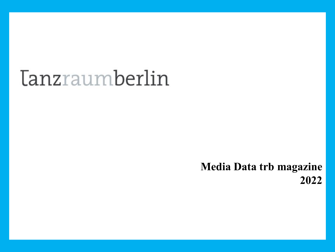# *<u>Tanzraumberlin</u>*

# **Media Data trb magazine 2022**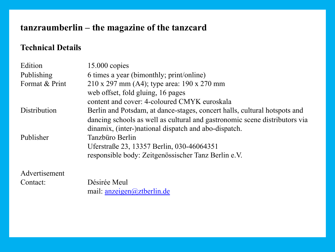## **tanzraumberlin – the magazine of the tanzcard**

#### **Technical Details**

| Edition        | $15.000$ copies                                                     |
|----------------|---------------------------------------------------------------------|
| Publishing     | 6 times a year (bimonthly; print/online)                            |
| Format & Print | $210 \times 297$ mm (A4); type area: 190 x 270 mm                   |
|                | web offset, fold gluing, 16 pages                                   |
|                | content and cover: 4-coloured CMYK euroskala                        |
| Distribution   | Berlin and Potsdam, at dance-stages, concert halls, cultural hotspo |
|                | dancing schools as well as cultural and gastronomic scene distribu  |
|                | dinamix, (inter-)national dispatch and abo-dispatch.                |
| Publisher      | Tanzbüro Berlin                                                     |
|                | Uferstraße 23, 13357 Berlin, 030-46064351                           |
|                | responsible body: Zeitgenössischer Tanz Berlin e.V.                 |
| Advertisement  |                                                                     |
| Contact:       | Désirée Meul                                                        |
|                | mail: $\arceq$ anzeigen $\omega$ ztberlin.de                        |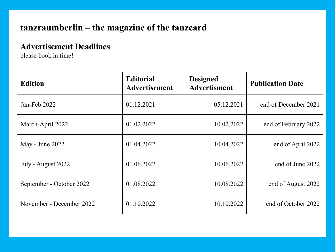#### **tanzraumberlin – the magazine of the tanzcard**

#### **Advertisement Deadlines**

please book in time!

| <b>Edition</b>           | <b>Editorial</b><br><b>Advertisement</b> | <b>Designed</b><br><b>Advertisment</b> | <b>Publication Date</b> |
|--------------------------|------------------------------------------|----------------------------------------|-------------------------|
| Jan-Feb 2022             | 01.12.2021                               | 05.12.2021                             | end of December 2021    |
| March-April 2022         | 01.02.2022                               | 10.02.2022                             | end of February 2022    |
| May - June 2022          | 01.04.2022                               | 10.04.2022                             | end of April 2022       |
| July - August 2022       | 01.06.2022                               | 10.06.2022                             | end of June 2022        |
| September - October 2022 | 01.08.2022                               | 10.08.2022                             | end of August 2022      |
| November - December 2022 | 01.10.2022                               | 10.10.2022                             | end of October 2022     |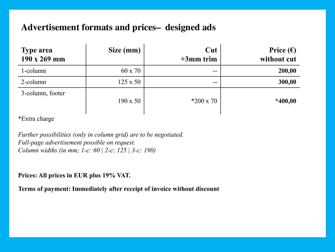#### **Advertisement formats and prices– designed ads**

| <b>Type area</b><br>190 x 269 mm | Size (mm)       | Cut<br>$+3$ mm trim | Price $(\epsilon)$<br>without cut |
|----------------------------------|-----------------|---------------------|-----------------------------------|
| 1-column                         | 60 x 70         | $- -$               | 200,00                            |
| 2-column                         | $125 \times 50$ | $- -$               | 300,00                            |
| 3-column, footer                 | $190 \times 50$ | $*200 \times 70$    | $*400,00$                         |

\*Extra charge

*Further possibilities (only in column grid) are to be negotiated. Full-page advertisement possible on request. Column widths (in mm; 1-c: 60 | 2-c: 125 | 3-c: 190)*

#### **Prices: All prices in EUR plus 19% VAT.**

**Terms of payment: Immediately after receipt of invoice without discount**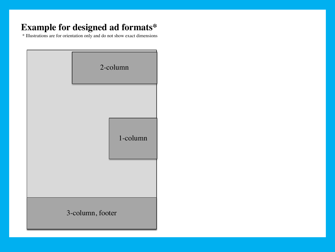### **Example for designed ad formats\***

\* Illustrations are for orientation only and do not show exact dimensions

| 2-column         |
|------------------|
| 1-column         |
| 3-column, footer |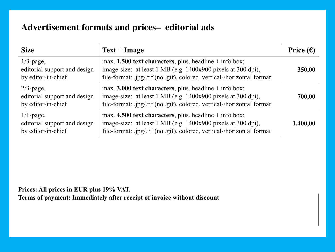#### **Advertisement formats and prices– editorial ads**

| <b>Size</b>                                                        | $Text + Image$                                                                                                                                                                                     | Price $(\epsilon)$ |
|--------------------------------------------------------------------|----------------------------------------------------------------------------------------------------------------------------------------------------------------------------------------------------|--------------------|
| $1/3$ -page,<br>editorial support and design<br>by editor-in-chief | max. 1.500 text characters, plus. headline $+$ info box;<br>image-size: at least 1 MB (e.g. 1400x900 pixels at 300 dpi),<br>file-format: .jpg/.tif (no .gif), colored, vertical-/horizontal format | 350,00             |
| $2/3$ -page,<br>editorial support and design<br>by editor-in-chief | max. 3.000 text characters, plus. headline $+$ info box;<br>image-size: at least 1 MB (e.g. 1400x900 pixels at 300 dpi),<br>file-format: .jpg/.tif (no .gif), colored, vertical-/horizontal format | 700,00             |
| $1/1$ -page,<br>editorial support and design<br>by editor-in-chief | max. 4.500 text characters, plus. headline $+$ info box;<br>image-size: at least 1 MB (e.g. 1400x900 pixels at 300 dpi),<br>file-format: .jpg/.tif (no .gif), colored, vertical-/horizontal format | 1.400,00           |

**Prices: All prices in EUR plus 19% VAT. Terms of payment: Immediately after receipt of invoice without discount**